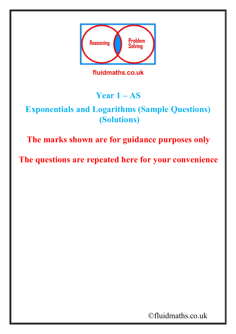

**Year 1 – AS** 

## **Exponentials and Logarithms (Sample Questions) (Solutions)**

**The marks shown are for guidance purposes only**

**The questions are repeated here for your convenience**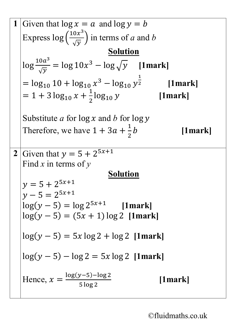1 Given that 
$$
\log x = a
$$
 and  $\log y = b$   
\nExpress  $\log \left(\frac{10x^3}{\sqrt{y}}\right)$  in terms of *a* and *b*  
\n $\log \frac{10a^3}{\sqrt{y}} = \log 10x^3 - \log \sqrt{y}$  [1mark]  
\n $= \log_{10} 10 + \log_{10} x^3 - \log_{10} y^{\frac{1}{2}}$  [1mark]  
\n $= 1 + 3 \log_{10} x + \frac{1}{2} \log_{10} y$  [1mark]  
\nSubstitute *a* for  $\log x$  and *b* for  $\log y$   
\nTherefore, we have  $1 + 3a + \frac{1}{2}b$  [1mark]  
\n2 Given that  $y = 5 + 2^{5x+1}$   
\nFind *x* in terms of *y*  
\n $y = 5 + 2^{5x+1}$   
\n $y - 5 = 2^{5x+1}$   
\n $\log(y - 5) = \log 2^{5x+1}$  [1mark]  
\n $\log(y - 5) = (5x + 1) \log 2$  [1mark]  
\n $\log(y - 5) = 5x \log 2 + \log 2$  [1mark]  
\n $\log(y - 5) - \log 2 = 5x \log 2$  [1mark]  
\nHence,  $x = \frac{\log(y - 5) - \log 2}{5 \log 2}$  [1mark]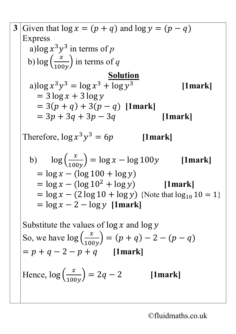3 Given that 
$$
\log x = (p + q)
$$
 and  $\log y = (p - q)$   
\nExpress  
\na)  $\log x^3y^3$  in terms of p  
\nb)  $\log \left(\frac{x}{100y}\right)$  in terms of q  
\na)  $\log x^3y^3 = \log x^3 + \log y^3$  [1mark]  
\n=  $3\log x + 3\log y$   
\n=  $3(p+q) + 3(p-q)$  [1mark]  
\n=  $3p + 3q + 3p - 3q$  [1mark]  
\nTherefore,  $\log x^3y^3 = 6p$  [1mark]  
\nb)  $\log \left(\frac{x}{100y}\right) = \log x - \log 100y$  [1mark]  
\n=  $\log x - (\log 100 + \log y)$   
\n=  $\log x - (\log 10^2 + \log y)$  [1mark]  
\n=  $\log x - 2 - \log y$  [1mark]  
\nSubstitute the values of  $\log x$  and  $\log y$   
\nSo, we have  $\log \left(\frac{x}{100y}\right) = (p+q) - 2 - (p-q)$   
\n=  $p+q-2-p+q$  [1mark]  
\nHence,  $\log \left(\frac{x}{100y}\right) = 2q-2$  [1mark]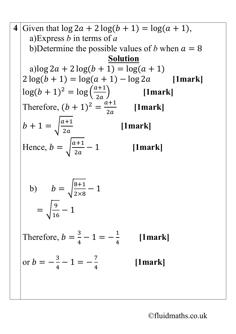4 Given that 
$$
\log 2a + 2\log(b + 1) = \log(a + 1)
$$
,  
\na)Express *b* in terms of *a*  
\nb) Determine the possible values of *b* when  $a = 8$   
\na)  $\log 2a + 2\log(b + 1) = \log(a + 1)$   
\n $2\log(b + 1) = \log(a + 1) - \log 2a$  [1mark]  
\n $\log(b + 1)^2 = \log\left(\frac{a+1}{2a}\right)$  [1mark]  
\nTherefore,  $(b + 1)^2 = \frac{a+1}{2a}$  [1mark]  
\n $b + 1 = \sqrt{\frac{a+1}{2a}}$  [1mark]  
\nHence,  $b = \sqrt{\frac{a+1}{2a}} - 1$  [1mark]  
\n $b$ )  $b = \sqrt{\frac{8+1}{2\times8}} - 1$   
\n $= \sqrt{\frac{9}{16}} - 1$   
\nTherefore,  $b = \frac{3}{4} - 1 = -\frac{1}{4}$  [1mark]  
\nor  $b = -\frac{3}{4} - 1 = -\frac{7}{4}$  [1mark]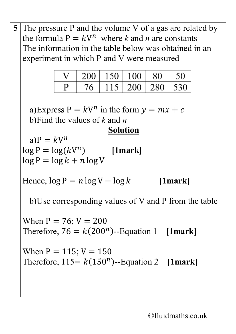5 The pressure P and the volume V of a gas are related by  
\nthe formula 
$$
P = kV^n
$$
 where k and n are constants  
\nThe information in the table below was obtained in an  
\nexperiment in which P and V were measured  
\nV 200 150 100 80 50  
\nP 76 115 200 280 530  
\na)Express  $P = kV^n$  in the form  $y = mx + c$   
\nb)Find the values of k and n  
\na)  $P = kV^n$   
\nlog  $P = log(kV^n)$  [1mark]  
\nlog  $P = log k + n log V$   
\nHence, log  $P = n log V + log k$  [1mark]  
\nb) Use corresponding values of V and P from the table  
\nWhen  $P = 76$ ;  $V = 200$   
\nTherefore,  $76 = k(200^n)$ -Equation 1 [1mark]  
\nWhen  $P = 115$ ;  $V = 150$   
\nTherefore,  $115 = k(150^n)$ -Equation 2 [1mark]